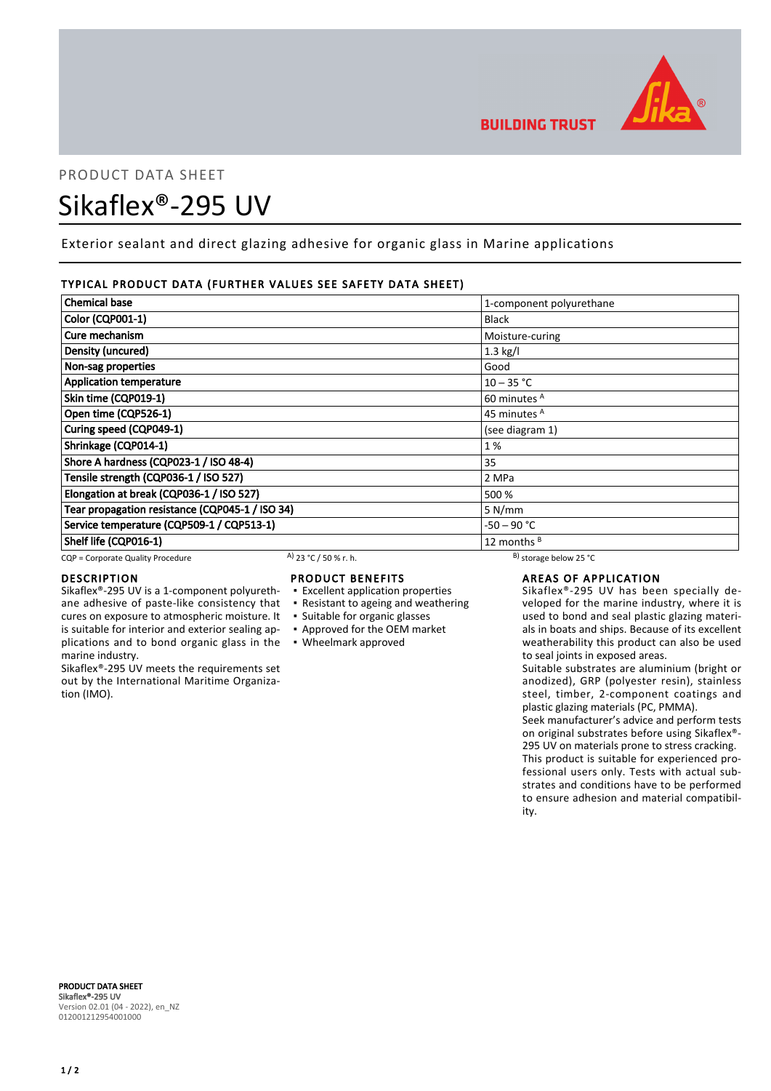

# PRODUCT DATA SHEET Sikaflex®-295 UV

Exterior sealant and direct glazing adhesive for organic glass in Marine applications

# TYPICAL PRODUCT DATA (FURTHER VALUES SEE SAFETY DATA SHEET)

| <b>Chemical base</b>                            |                       | 1-component polyurethane     |  |
|-------------------------------------------------|-----------------------|------------------------------|--|
| <b>Color (CQP001-1)</b>                         |                       | <b>Black</b>                 |  |
| Cure mechanism                                  |                       | Moisture-curing              |  |
| Density (uncured)                               |                       | $1.3$ kg/l                   |  |
| Non-sag properties                              |                       | Good                         |  |
| <b>Application temperature</b>                  |                       | $10 - 35 °C$                 |  |
| Skin time (CQP019-1)                            |                       | 60 minutes <sup>A</sup>      |  |
| Open time (CQP526-1)                            |                       | 45 minutes <sup>A</sup>      |  |
| Curing speed (CQP049-1)                         |                       | (see diagram 1)              |  |
| Shrinkage (CQP014-1)                            |                       | 1%                           |  |
| Shore A hardness (CQP023-1 / ISO 48-4)          |                       | 35                           |  |
| Tensile strength (CQP036-1 / ISO 527)           |                       | 2 MPa                        |  |
| Elongation at break (CQP036-1 / ISO 527)        |                       | 500 %                        |  |
| Tear propagation resistance (CQP045-1 / ISO 34) |                       | 5 N/mm                       |  |
| Service temperature (CQP509-1 / CQP513-1)       |                       | -50 – 90 °C                  |  |
| Shelf life (CQP016-1)                           |                       | 12 months <sup>B</sup>       |  |
| CQP = Corporate Quality Procedure               | A) 23 °C / 50 % r. h. | $^{B}$ ) storage below 25 °C |  |

cures on exposure to atmospheric moisture. It is suitable for interior and exterior sealing ap-

Sikaflex®-295 UV meets the requirements set out by the International Maritime Organiza-

## DESCRIPTION

marine industry.

tion (IMO).

# PRODUCT BENEFITS

- Sikaflex®-295 UV is a 1-component polyurethane adhesive of paste-like consistency that ▪ Excellent application properties
	- Resistant to ageing and weathering
	- Suitable for organic glasses
	- Approved for the OEM market
- plications and to bond organic glass in the Wheelmark approved

# AREAS OF APPLICATION

Sikaflex®-295 UV has been specially developed for the marine industry, where it is used to bond and seal plastic glazing materials in boats and ships. Because of its excellent weatherability this product can also be used to seal joints in exposed areas.

Suitable substrates are aluminium (bright or anodized), GRP (polyester resin), stainless steel, timber, 2-component coatings and plastic glazing materials (PC, PMMA).

Seek manufacturer's advice and perform tests on original substrates before using Sikaflex®- 295 UV on materials prone to stress cracking. This product is suitable for experienced professional users only. Tests with actual substrates and conditions have to be performed to ensure adhesion and material compatibility.

PRODUCT DATA SHEET Sikaflex®-295 UV Version 02.01 (04 - 2022), en\_NZ 012001212954001000